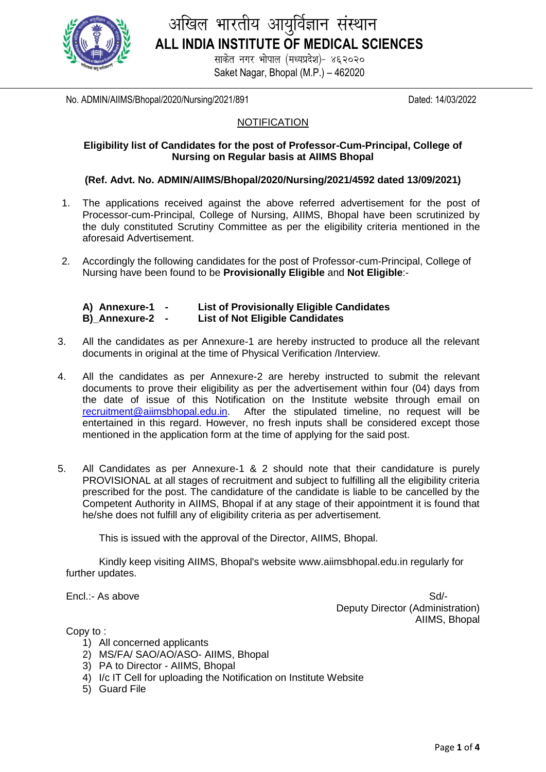

# अखिल भारतीय आयुर्विज्ञान संस्थान **ALL INDIA INSTITUTE OF MEDICAL SCIENCES**

साकेत नगर भोपाल (मध्यप्रदेश)- ४६२०२० Saket Nagar, Bhopal (M.P.) – 462020

No. ADMIN/AIIMS/Bhopal/2020/Nursing/2021/891 Dated: 14/03/2022

#### **NOTIFICATION**

#### **Eligibility list of Candidates for the post of Professor-Cum-Principal, College of Nursing on Regular basis at AIIMS Bhopal**

#### **(Ref. Advt. No. ADMIN/AIIMS/Bhopal/2020/Nursing/2021/4592 dated 13/09/2021)**

- 1. The applications received against the above referred advertisement for the post of Processor-cum-Principal, College of Nursing, AIIMS, Bhopal have been scrutinized by the duly constituted Scrutiny Committee as per the eligibility criteria mentioned in the aforesaid Advertisement.
- 2. Accordingly the following candidates for the post of Professor-cum-Principal, College of Nursing have been found to be **Provisionally Eligible** and **Not Eligible**:-

| A) Annexure-1 | <b>List of Provisionally Eligible Candidates</b> |
|---------------|--------------------------------------------------|
| B)_Annexure-2 | <b>List of Not Eligible Candidates</b>           |

- 3. All the candidates as per Annexure-1 are hereby instructed to produce all the relevant documents in original at the time of Physical Verification /Interview.
- 4. All the candidates as per Annexure-2 are hereby instructed to submit the relevant documents to prove their eligibility as per the advertisement within four (04) days from the date of issue of this Notification on the Institute website through email on [recruitment@aiimsbhopal.edu.in.](mailto:recruitment@aiimsbhopal.edu.in) After the stipulated timeline, no request will be entertained in this regard. However, no fresh inputs shall be considered except those mentioned in the application form at the time of applying for the said post.
- 5. All Candidates as per Annexure-1 & 2 should note that their candidature is purely PROVISIONAL at all stages of recruitment and subject to fulfilling all the eligibility criteria prescribed for the post. The candidature of the candidate is liable to be cancelled by the Competent Authority in AIIMS, Bhopal if at any stage of their appointment it is found that he/she does not fulfill any of eligibility criteria as per advertisement.

This is issued with the approval of the Director, AIIMS, Bhopal.

Kindly keep visiting AIIMS, Bhopal's website www.aiimsbhopal.edu.in regularly for further updates.

Encl.:- As above Sd/-Deputy Director (Administration) AIIMS, Bhopal

Copy to :

- 1) All concerned applicants
- 2) MS/FA/ SAO/AO/ASO- AIIMS, Bhopal
- 3) PA to Director AIIMS, Bhopal
- 4) I/c IT Cell for uploading the Notification on Institute Website
- 5) Guard File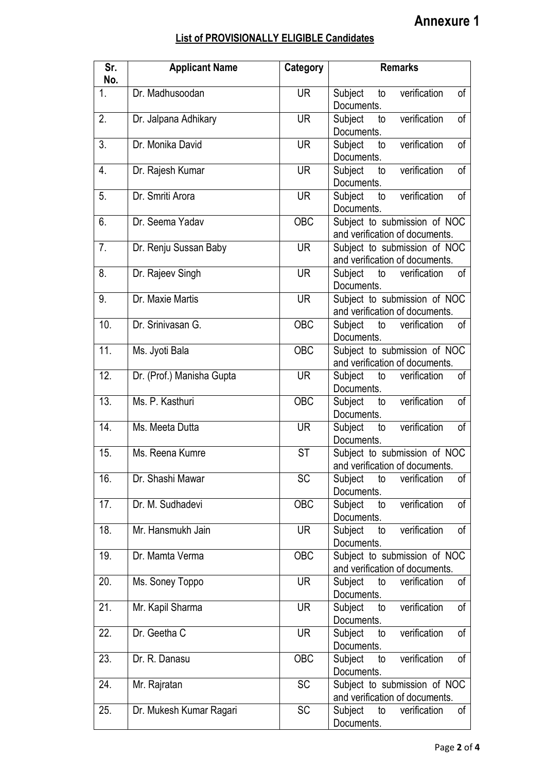### **List of PROVISIONALLY ELIGIBLE Candidates**

| Sr.<br>No. | <b>Applicant Name</b>     | <b>Category</b>  | <b>Remarks</b>                                                 |
|------------|---------------------------|------------------|----------------------------------------------------------------|
| 1.         | Dr. Madhusoodan           | <b>UR</b>        | verification<br>of<br>Subject<br>to<br>Documents.              |
| 2.         | Dr. Jalpana Adhikary      | <b>UR</b>        | verification<br>of<br>Subject<br>to<br>Documents.              |
| 3.         | Dr. Monika David          | <b>UR</b>        | verification<br>Subject<br>of<br>to<br>Documents.              |
| 4.         | Dr. Rajesh Kumar          | <b>UR</b>        | verification<br>Subject to<br>of<br>Documents.                 |
| 5.         | Dr. Smriti Arora          | <b>UR</b>        | of<br>verification<br>Subject<br>to<br>Documents.              |
| 6.         | Dr. Seema Yadav           | <b>OBC</b>       | Subject to submission of NOC<br>and verification of documents. |
| 7.         | Dr. Renju Sussan Baby     | <b>UR</b>        | Subject to submission of NOC<br>and verification of documents. |
| 8.         | Dr. Rajeev Singh          | <b>UR</b>        | of<br>verification<br>Subject<br>to<br>Documents.              |
| 9.         | Dr. Maxie Martis          | <b>UR</b>        | Subject to submission of NOC<br>and verification of documents. |
| 10.        | Dr. Srinivasan G.         | $\overline{OBC}$ | verification<br>Subject to<br>of<br>Documents.                 |
| 11.        | Ms. Jyoti Bala            | <b>OBC</b>       | Subject to submission of NOC<br>and verification of documents. |
| 12.        | Dr. (Prof.) Manisha Gupta | <b>UR</b>        | of<br>Subject<br>verification<br>to<br>Documents.              |
| 13.        | Ms. P. Kasthuri           | <b>OBC</b>       | verification<br>of<br>Subject to<br>Documents.                 |
| 14.        | Ms. Meeta Dutta           | <b>UR</b>        | of<br>verification<br>Subject<br>to<br>Documents.              |
| 15.        | Ms. Reena Kumre           | <b>ST</b>        | Subject to submission of NOC<br>and verification of documents  |
| 16.        | Dr. Shashi Mawar          | <b>SC</b>        | verification<br>of<br>Subject<br>to<br>Documents.              |
| 17.        | Dr. M. Sudhadevi          | <b>OBC</b>       | verification<br>of<br>Subject<br>to<br>Documents.              |
| 18.        | Mr. Hansmukh Jain         | <b>UR</b>        | verification<br>of<br>Subject<br>to<br>Documents.              |
| 19.        | Dr. Mamta Verma           | <b>OBC</b>       | Subject to submission of NOC<br>and verification of documents. |
| 20.        | Ms. Soney Toppo           | <b>UR</b>        | verification<br>Subject<br>of<br>to<br>Documents.              |
| 21.        | Mr. Kapil Sharma          | <b>UR</b>        | verification<br>of<br>Subject<br>to<br>Documents.              |
| 22.        | Dr. Geetha C              | <b>UR</b>        | verification<br>of<br>Subject<br>to<br>Documents.              |
| 23.        | Dr. R. Danasu             | OBC              | verification<br>Subject<br>of<br>to<br>Documents.              |
| 24.        | Mr. Rajratan              | <b>SC</b>        | Subject to submission of NOC<br>and verification of documents. |
| 25.        | Dr. Mukesh Kumar Ragari   | <b>SC</b>        | Subject<br>verification<br>of<br>to<br>Documents.              |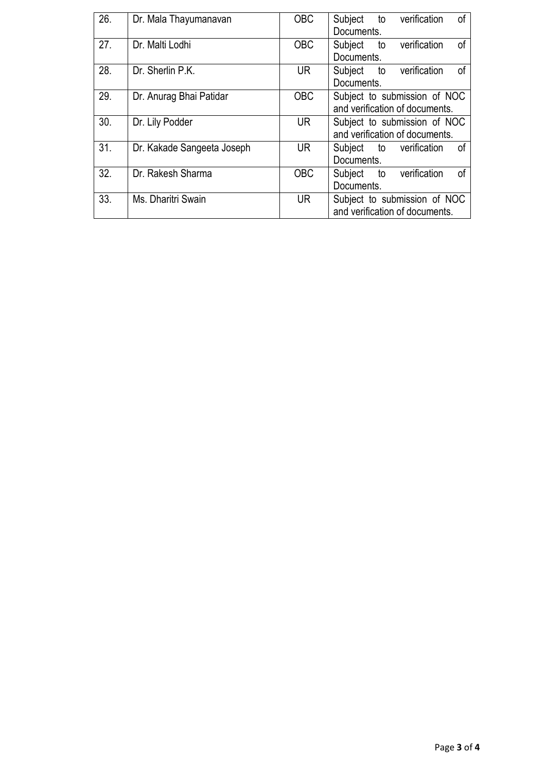| 26. | Dr. Mala Thayumanavan      | <b>OBC</b> | оf<br>Subject to<br>verification |
|-----|----------------------------|------------|----------------------------------|
|     |                            |            | Documents.                       |
| 27. | Dr. Malti Lodhi            | <b>OBC</b> | Subject to verification<br>οf    |
|     |                            |            | Documents.                       |
| 28. | Dr. Sherlin P.K.           | <b>UR</b>  | Subject to verification<br>οf    |
|     |                            |            | Documents.                       |
| 29. | Dr. Anurag Bhai Patidar    | <b>OBC</b> | Subject to submission of NOC     |
|     |                            |            | and verification of documents.   |
| 30. | Dr. Lily Podder            | UR.        | Subject to submission of NOC     |
|     |                            |            | and verification of documents.   |
| 31. | Dr. Kakade Sangeeta Joseph | <b>UR</b>  | of<br>Subject to verification    |
|     |                            |            | Documents.                       |
| 32. | Dr. Rakesh Sharma          | <b>OBC</b> | Subject to verification<br>оf    |
|     |                            |            | Documents.                       |
| 33. | Ms. Dharitri Swain         | <b>UR</b>  | Subject to submission of NOC     |
|     |                            |            | and verification of documents.   |